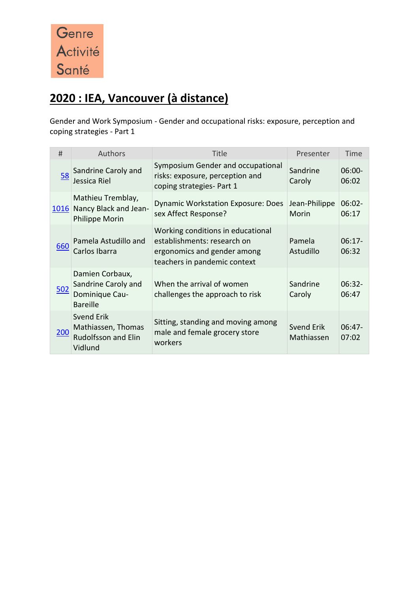

## **2020 : IEA, Vancouver (à distance)**

Gender and Work Symposium - Gender and occupational risks: exposure, perception and coping strategies - Part 1

| #           | Authors                                                                     | <b>Title</b>                                                                                                                    | Presenter                | Time               |
|-------------|-----------------------------------------------------------------------------|---------------------------------------------------------------------------------------------------------------------------------|--------------------------|--------------------|
| 58          | Sandrine Caroly and<br>Jessica Riel                                         | Symposium Gender and occupational<br>risks: exposure, perception and<br>coping strategies- Part 1                               | Sandrine<br>Caroly       | $06:00-$<br>06:02  |
| 1016        | Mathieu Tremblay,<br>Nancy Black and Jean-<br>Philippe Morin                | <b>Dynamic Workstation Exposure: Does</b><br>sex Affect Response?                                                               | Jean-Philippe<br>Morin   | $06:02 -$<br>06:17 |
| <u>660</u>  | Pamela Astudillo and<br>Carlos Ibarra                                       | Working conditions in educational<br>establishments: research on<br>ergonomics and gender among<br>teachers in pandemic context | Pamela<br>Astudillo      | $06:17-$<br>06:32  |
| 502         | Damien Corbaux,<br>Sandrine Caroly and<br>Dominique Cau-<br><b>Bareille</b> | When the arrival of women<br>challenges the approach to risk                                                                    | Sandrine<br>Caroly       | $06:32 -$<br>06:47 |
| <u> 200</u> | Svend Erik<br>Mathiassen, Thomas<br><b>Rudolfsson and Elin</b><br>Vidlund   | Sitting, standing and moving among<br>male and female grocery store<br>workers                                                  | Svend Erik<br>Mathiassen | $06:47-$<br>07:02  |